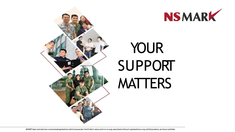



# YOUR SUPPORT **MATTERS**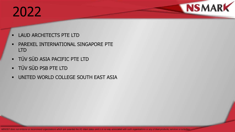#### 2022

- **LAUD ARCHITECTS PTE LTD**
- **PAREXEL INTERNATIONAL SINGAPORE PTE** LTD
- TÜV SÜD ASIA PACIFIC PTE LTD
- TÜV SÜD PSB PTE LTD
- **UNITED WORLD COLLEGE SOUTH EAST ASIA**

**NSMARK**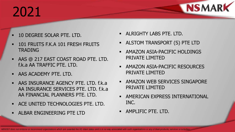## 2021

- 10 DEGREE SOLAR PTE. LTD.
- 101 FRUITS F.K.A 101 FRESH FRUITS TRADING
- AAS @ 217 EAST COAST ROAD PTE. LTD. f.k.a AA TRAFFIC PTE. LTD.
- **AAS ACADEMY PTE. LTD.**
- AAS INSURANCE AGENCY PTE. LTD. f.k.a AA INSURANCE SERVICES PTE. LTD. f.k.a AA FINANCIAL PLANNERS PTE. LTD.
- **ACE UNITED TECHNOLOGIES PTE. LTD.**
- ALBAR ENGINEERING PTE LTD
- ALRIGHTY LABS PTE. LTD.
- ALSTOM TRANSPORT (S) PTE LTD

**NSMARK** 

- AMAZON ASIA-PACIFIC HOLDINGS PRIVATE LIMITED
- **AMAZON ASIA-PACIFIC RESOURCES** PRIVATE LIMITED
- **AMAZON WEB SERVICES SINGAPORE** PRIVATE LIMITED
- AMERICAN EXPRESS INTERNATIONAL INC.
- **AMPLIFIC PTE. LTD.**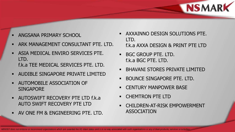

- ANGSANA PRIMARY SCHOOL
- ARK MANAGEMENT CONSULTANT PTE. LTD.
- **ASIA MEDICAL ENVIRO SERVICES PTE.** LTD. f.k.a TEE MEDICAL SERVICES PTE. LTD.
- AUDIBLE SINGAPORE PRIVATE LIMITED
- AUTOMOBILE ASSOCIATION OF **SINGAPORE**
- AUTOSWIFT RECOVERY PTE LTD f.k.a AUTO SWIFT RECOVERY PTE LTD
- AV ONE FM & ENGINEERING PTE. LTD.
- **AXXAINNO DESIGN SOLUTIONS PTE.** LTD. f.k.a AXXA DESIGN & PRINT PTE LTD
- **BGC GROUP PTE. LTD.** f.k.a BGC PTE. LTD.
- **BHAVANI STORES PRIVATE LIMITED**
- **BOUNCE SINGAPORE PTE. LTD.**
- **EXECUTELY MANPOWER BASE**
- CHEMTRON PTE LTD
- CHILDREN-AT-RISK EMPOWERMENT ASSOCIATION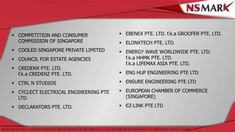

- COMPETITION AND CONSUMER COMMISSION OF SINGAPORE
- COOLED SINGAPORE PRIVATE LIMITED
- COUNCIL FOR ESTATE AGENCIES
- **CREDENX PTE. LTD.** f.k.a CREDENZ PTE. LTD.
- **CTRL N STUDIOS**
- **CYCLECT ELECTRICAL ENGINEERING PTE** LTD.
- DECLARATORS PTE. LTD.
- EBENEX PTE. LTD. f.k.a GROOFER PTE. LTD.
- ELONXTECH PTE. LTD.
- ENERGY WAVE WORLDWIDE PTE. LTD. f.k.a HHMK PTE. LTD. f.k.a LIFEMAX ASIA PTE. LTD.
- ENG HUP ENGINEERING PTE LTD
- ENSURE ENGINEERING PTE LTD
- EUROPEAN CHAMBER OF COMMERCE (SINGAPORE)
- EZ-LINK PTE LTD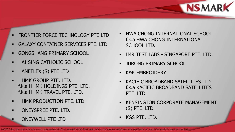

- FRONTIER FORCE TECHNOLOGY PTE LTD
- GALAXY CONTAINER SERVICES PTE. LTD.
- **GONGSHANG PRIMARY SCHOOL**
- HAI SING CATHOLIC SCHOOL
- HANEFLEX (S) PTE LTD
- **HHMK GROUP PTE. LTD.** f.k.a HHMK HOLDINGS PTE. LTD. f.k.a HHMK TRAVEL PTE. LTD.
- HHMK PRODUCTION PTE. LTD.
- **HONEYSPREE PTE. LTD.**
- HONEYWELL PTE LTD
- HWA CHONG INTERNATIONAL SCHOOL f.k.a HWA CHONG INTERNATIONAL SCHOOL LTD.
- IMR TEST LABS SINGAPORE PTE. LTD.
- JURONG PRIMARY SCHOOL
- K&K EMBROIDERY
- KACIFIC BROADBAND SATELLITES LTD. f.k.a KACIFIC BROADBAND SATELLITES PTE. LTD.
- KENSINGTON CORPORATE MANAGEMENT (S) PTE. LTD.
- KGS PTE. LTD.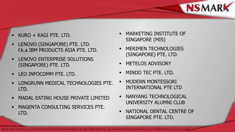

- KURO + KAGI PTE. LTD.
- LENOVO (SINGAPORE) PTE. LTD. f.k.a IBM PRODUCTS ASIA PTE. LTD.
- LENOVO ENTERPRISE SOLUTIONS (SINGAPORE) PTE. LTD.
- LEO INFOCOMM PTE. LTD.
- LONGRUNN MEDICAL TECHNOLOGIES PTE. LTD.
- MADAL EATING HOUSE PRIVATE LIMITED
- MAGENTA CONSULTING SERVICES PTE. LTD.
- MARKETING INSTITUTE OF SINGAPORE (MIS)
- MERIMEN TECHNOLOGIES (SINGAPORE) PTE. LTD.
- METELOS ADVISORY
- MINDO TEC PTE. LTD.
- MODERN MONTESSORI INTERNATIONAL PTE LTD
- NANYANG TECHNOLOGICAL UNIVERSITY ALUMNI CLUB
- NATIONAL DENTAL CENTRE OF SINGAPORE PTE. LTD.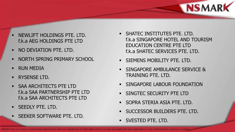

- NEWLIFT HOLDINGS PTE. LTD. f.k.a AEG HOLDINGS PTE LTD
- **NO DEVIATION PTE. LTD.**
- NORTH SPRING PRIMARY SCHOOL
- RUN MEDIA
- RYSENSE LTD.
- SAA ARCHITECTS PTE LTD f.k.a SAA PARTNERSHIP PTE LTD f.k.a SAA ARCHITECTS PTE LTD
- SEEDLY PTE. LTD.
- SEEKER SOFTWARE PTE. LTD.
- **SHATEC INSTITUTES PTE. LTD.** f.k.a SINGAPORE HOTEL AND TOURISM EDUCATION CENTRE PTE LTD f.k.a SHATEC SERVICES PTE. LTD.
- SIEMENS MOBILITY PTE. LTD.
- SINGAPORE AMBULANCE SERVICE & TRAINING PTF. LTD.
- SINGAPORE LABOUR FOUNDATION
- SINGTEC SECURITY PTE LTD
- SOPRA STERIA ASIA PTE. LTD.
- SUCCESSOR BUILDERS PTE. LTD.
- SVESTED PTE. LTD.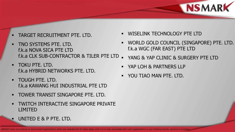

- TARGET RECRUITMENT PTE. LTD.
- TNO SYSTEMS PTE. LTD. f.k.a NOVA SICA PTE LTD f.k.a CLK SUB-CONTRACTOR & TILER PTE LTD
- TOKU PTE. LTD. f.k.a HYBRID NETWORKS PTE. LTD.
- TOUGH PTE. LTD. f.k.a KAWANG HUI INDUSTRIAL PTE LTD
- TOWER TRANSIT SINGAPORE PTE. LTD.
- TWITCH INTERACTIVE SINGAPORE PRIVATE LIMITED
	- UNITED E & P PTE. LTD.
- WISELINK TECHNOLOGY PTE LTD
- WORLD GOLD COUNCIL (SINGAPORE) PTE. LTD. f.k.a WGC (FAR EAST) PTE LTD
- YANG & YAP CLINIC & SURGERY PTE LTD
- YAP LOH & PARTNERS LLP
- YOU TIAO MAN PTE. LTD.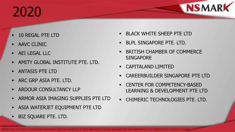## 2020

- 10 REGAL PTE LTD
- AAVC CLINIC
- AEI LEGAL LLC
- AMITY GLOBAL INSTITUTE PTE. LTD.
- ANTASIS PTE LTD
- **ARC GRP ASIA PTE. LTD.**
- ARDOUR CONSULTANCY LLP
- ARMOR ASIA IMAGING SUPPLIES PTE LTD
- ASIA WATERJET EQUIPMENT PTE LTD
- BIZ SQUARE PTE. LTD.
- BLACK WHITE SHEEP PTE LTD
- BLPL SINGAPORE PTE. LTD.
- BRITISH CHAMBER OF COMMERCE **SINGAPORE**

**NSMARK** 

- CAPITALAND LIMITED
- CAREERBUILDER SINGAPORE PTE LTD
- CENTER FOR COMPETENCY-BASED LEARNING & DEVELOPMENT PTE LTD
- **CHIMERIC TECHNOLOGIES PTE. LTD.**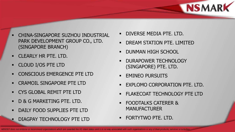

- CHINA-SINGAPORE SUZHOU INDUSTRIAL PARK DEVELOPMENT GROUP CO., LTD. (SINGAPORE BRANCH)
- CLEARLY HR PTE. LTD.
- CLOUD I/OS PTE LTD
- **CONSCIOUS EMERGENCE PTE LTD**
- CRAMOIL SINGAPORE PTE LTD
- CYS GLOBAL REMIT PTE LTD
- D & G MARKETING PTE. LTD.
- DAILY FOOD SUPPLIES PTE LTD
- DIAGPAY TECHNOLOGY PTE LTD
- DIVERSE MEDIA PTE. LTD.
- DREAM STATION PTE. LIMITED
- DUNMAN HIGH SCHOOL
- DURAPOWER TECHNOLOGY (SINGAPORE) PTE. LTD.
- EMINEO PURSUITS
- EXPLOMO CORPORATION PTE. LTD.
- FLAKECOAT TECHNOLOGY PTE LTD
- FOODTALKS CATERER & MANUFACTURER
- FORTYTWO PTE. LTD.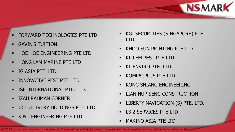

- FORWARD TECHNOLOGIES PTE LTD
- GAVIN'S TUITION
- **HOE HOE ENGINEERING PTE LTD**
- **HONG LAM MARINE PTE LTD**
- IG ASIA PTE. LTD.
- **INNOVATIVE PEST PTE. LTD**
- **ISE INTERNATIONAL PTE. LTD.**
- IZAH RAHMAN CORNER
- J&J DELIVERY HOLDINGS PTE. LTD.
- K & J ENGINEERING PTE LTD
- KGI SECURITIES (SINGAPORE) PTE. LTD.
- **KHOO SUN PRINTING PTE LTD**
- KILLEM PEST PTE LTD
- KL ENVIRO PTE. LTD.
- KOMPACPLUS PTE LTD
- KONG SHIANG ENGINEERING
- LIAN HUP SENG CONSTRUCTION
- LIBERTY NAVIGATION (S) PTE. LTD.
- **LS 2 SERVICES PTE LTD**
- MAKINO ASIA PTE LTD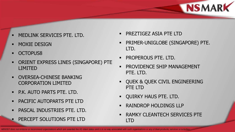

- MEDLINK SERVICES PTE. LTD.
- MOXIE DESIGN
- OCTOPUS8
- ORIENT EXPRESS LINES (SINGAPORE) PTE LIMITED
- OVERSEA-CHINESE BANKING CORPORATION LIMITED
- **P.K. AUTO PARTS PTE. LTD.**
- PACIFIC AUTOPARTS PTE LTD
- **PASCAL INDUSTRIES PTE. LTD.**
- PERCEPT SOLUTIONS PTE LTD
- PREZTIGEZ ASIA PTE LTD
- PRIMER-UNIGLOBE (SINGAPORE) PTE. LTD.
- PROPEROUS PTE. LTD.
- PROVIDENCE SHIP MANAGEMENT PTE. LTD.
- QUEK & QUEK CIVIL ENGINEERING PTE LTD
- QUIRKY HAUS PTE. LTD.
- RAINDROP HOLDINGS LLP
- RAMKY CLEANTECH SERVICES PTE LTD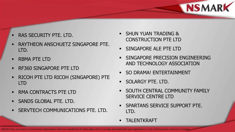

- RAS SECURITY PTE. LTD.
- RAYTHEON ANSCHUETZ SINGAPORE PTE. LTD.
- RBMA PTE LTD
- **RE360 SINGAPORE PTE LTD**
- RICOH PTE LTD RICOH (SINGAPORE) PTE LTD
- RMA CONTRACTS PTE LTD
- SANDS GLOBAL PTE. LTD.
- **SERVTECH COMMUNICATIONS PTE. LTD.**
- SHUN YUAN TRADING & CONSTRUCTION PTE LTD
- SINGAPORE ALE PTE LTD
- SINGAPORE PRECISION ENGINEERING AND TECHNOLOGY ASSOCIATION
- SO DRAMA! ENTERTAINMENT
- SOLARGY PTE. LTD.
- SOUTH CENTRAL COMMUNITY FAMILY SERVICE CENTRE LTD
- **SPARTANS SERVICE SUPPORT PTE.** LTD.
- TALENTKRAFT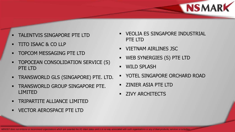

- TALENTVIS SINGAPORE PTE LTD
- TITO ISAAC & CO LLP
- TOPCOM MESSAGING PTE LTD
- TOPOCEAN CONSOLIDATION SERVICE (S) PTE LTD
- **TRANSWORLD GLS (SINGAPORE) PTE. LTD.**
- TRANSWORLD GROUP SINGAPORE PTE. LIMITED
- **TRIPARTITE ALLIANCE LIMITED**
- **VECTOR AEROSPACE PTE LTD**
- VEOLIA ES SINGAPORE INDUSTRIAL PTE LTD
- **UIETNAM AIRLINES JSC**
- WEB SYNERGIES (S) PTE LTD
- WILD SPLASH
- YOTEL SINGAPORE ORCHARD ROAD
- ZINIER ASIA PTE LTD
- **EXAMPLE ZIVY ARCHITECTS**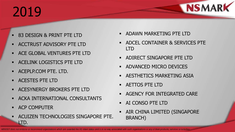## 2019

**NSMARK** 

- 83 DESIGN & PRINT PTE LTD
- ACCTRUST ADVISORY PTE LTD
- ACE GLOBAL VENTURES PTE LTD
- **ACELINK LOGISTICS PTE LTD**
- **ACEPLP.COM PTE. LTD.**
- ACESTES PTE LTD
- **ACESYNERGY BROKERS PTE LTD**
- **ACKA INTERNATIONAL CONSULTANTS**
- ACP COMPUTER
- ACUIZEN TECHNOLOGIES SINGAPORE PTE. LTD.
- **ADAWN MARKETING PTE LTD**
- ADCEL CONTAINER & SERVICES PTE LTD
- ADIRECT SINGAPORE PTE LTD
- ADVANCED MICRO DEVICES
- AESTHETICS MARKETING ASIA
- AETTOS PTE LTD
- AGENCY FOR INTEGRATED CARE
- AI CONSO PTE LTD
- AIR CHINA LIMITED (SINGAPORE BRANCH)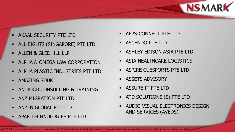

- AKAAL SECURITY PTE LTD
- ALL EIGHTS (SINGAPORE) PTE LTD
- ALLEN & GLEDHILL LLP
- ALPHA & OMEGA LAW CORPORATION
- ALPHA PLASTIC INDUSTRIES PTE LTD
- **AMAZING SOUK**
- ANTIOCH CONSULTING & TRAINING
- **ANZ MIGRATION PTE LTD**
- ANZEN GLOBAL PTE LTD
- APAR TECHNOLOGIES PTE LTD
- APPS-CONNECT PTE LTD
- ASCENDO PTE LTD
- **ASHLEY-EDISON ASIA PTE LTD**
- **ASIA HEALTHCARE LOGISTICS**
- **ASPIRE CUESPORTS PTE LTD**
- ASSETS ADVISORY
- ASSURE IT PTE LTD
- ATD SOLUTIONS (S) PTE LTD
- AUDIO VISUAL ELECTRONICS DESIGN AND SERVICES (AVEDS)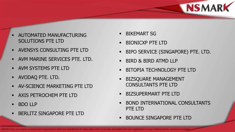

- AUTOMATED MANUFACTURING SOLUTIONS PTE LTD
- AVENSYS CONSULTING PTE LTD
- AVM MARINE SERVICES PTE. LTD.
- **AVM SYSTEMS PTE LTD**
- AVODAQ PTE. LTD.
- AV-SCIENCE MARKETING PTE LTD
- AXIS PETROCHEM PTE LTD
- BDO LLP
- BERLITZ SINGAPORE PTE LTD
- BIKEMART SG
- BIONICXP PTE LTD
- BIPO SERVICE (SINGAPORE) PTE. LTD.
- **BIRD & BIRD ATMD LLP**
- BITOPIA TECHNOLOGY PTE LTD
- BIZSQUARE MANAGEMENT CONSULTANTS PTE LTD
- BIZSUPERMART PTE LTD
- BOND INTERNATIONAL CONSULTANTS PTE LTD
- BOUNCE SINGAPORE PTE LTD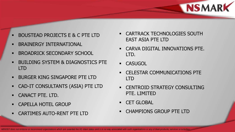

- BOUSTEAD PROJECTS E & C PTE LTD
- BRAINERGY INTERNATIONAL
- **BROADRICK SECONDARY SCHOOL**
- BUILDING SYSTEM & DIAGNOSTICS PTE LTD
- BURGER KING SINGAPORE PTE LTD
- CAD-IT CONSULTANTS (ASIA) PTE LTD
- CANACT PTE. LTD.
- CAPELLA HOTEL GROUP
- CARTIMES AUTO-RENT PTE LTD
- CARTRACK TECHNOLOGIES SOUTH EAST ASIA PTE LTD
- CARVA DIGITAL INNOVATIONS PTE. LTD.
- **CASUGOL**
- CELESTAR COMMUNICATIONS PTE LTD
- **EXECUTE CONSULTING** PTE. LIMITED
- CET GLOBAL
- CHAMPIONS GROUP PTE LTD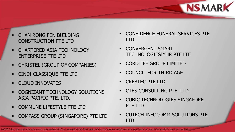

- CHAN RONG FEN BUILDING CONSTRUCTION PTE LTD
- **CHARTERED ASIA TECHNOLOGY** ENTERPRISE PTE LTD
- CHRISTEL (GROUP OF COMPANIES)
- CINDI CLASSIQUE PTE LTD
- **CLOUD INNOVATES**
- COGNIZANT TECHNOLOGY SOLUTIONS ASIA PACIFIC PTE. LTD.
- COMMUNE LIFESTYLE PTE LTD
- COMPASS GROUP (SINGAPORE) PTE LTD
- CONFIDENCE FUNERAL SERVICES PTE LTD
- CONVERGENT SMART TECHNOLOGIESIYHR PTE LTE
- CORDLIFE GROUP LIMITED
- COUNCIL FOR THIRD AGE
- CRE8TEC PTE LTD
- CTES CONSULTING PTE. LTD.
- CUBIC TECHNOLOGIES SINGAPORE PTE LTD
- CUTECH INFOCOMM SOLUTIONS PTE LTD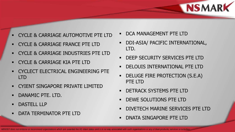

- CYCLE & CARRIAGE AUTOMOTIVE PTE LTD
- CYCLE & CARRIAGE FRANCE PTE LTD
- CYCLE & CARRIAGE INDUSTRIES PTE LTD
- CYCLE & CARRIAGE KIA PTE LTD
- **CYCLECT ELECTRICAL ENGINEERING PTE** LTD
- CYIENT SINGAPORE PRIVATE LIMITED
- **DANAMIC PTE. LTD.**
- DASTELL LLP
- DATA TERMINATOR PTE LTD
- DCA MANAGEMENT PTE LTD
- DDI-ASIA/ PACIFIC INTERNATIONAL, LTD.
- DEEP SECURITY SERVICES PTE LTD
- DELOUIS INTERNATIONAL PTE LTD
- DELUGE FIRE PROTECTION (S.E.A) PTE LTD
- DETRACK SYSTEMS PTE LTD
- DEWE SOLUTIONS PTE LTD
- DIVETECH MARINE SERVICES PTE LTD
- DNATA SINGAPORE PTE LTD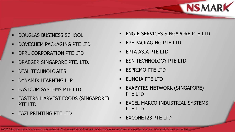

- DOUGLAS BUSINESS SCHOOL
- DOVECHEM PACKAGING PTE LTD
- **DPRL CORPORATION PTE LTD**
- DRAEGER SINGAPORE PTE. LTD.
- **DTAL TECHNOLOGIES**
- **DYNAMIX LEARNING LLP**
- **EASTCOM SYSTEMS PTE LTD**
- EASTERN HARVEST FOODS (SINGAPORE) PTE LTD
- EAZI PRINTING PTE LTD
- ENGIE SERVICES SINGAPORE PTE LTD
- **EPE PACKAGING PTE LTD**
- **EPTA ASIA PTE LTD**
- **ESN TECHNOLOGY PTE LTD**
- ESPRIMO PTE LTD
- EUNOIA PTE LTD
- EXABYTES NETWORK (SINGAPORE) PTE LTD
- **EXCEL MARCO INDUSTRIAL SYSTEMS** PTE LTD
- EXCONET23 PTE LTD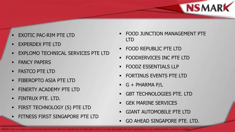

- EXOTIC PAC-RIM PTE LTD
- EXPERDEX PTE LTD
- **EXPLOMO TECHNICAL SERVICES PTE LTD**
- FANCY PAPERS
- **FASTCO PTE LTD**
- **FIBEROPTO ASIA PTE LTD**
- FINERTY ACADEMY PTE LTD
- FINTRUX PTE. LTD.
- FIRST TECHNOLOGY (S) PTE LTD
- FITNESS FIRST SINGAPORE PTE LTD
- FOOD JUNCTION MANAGEMENT PTE LTD
- FOOD REPUBLIC PTE LTD
- **FOODXERVICES INC PTE LTD**
- FOODZ ESSENTIALS LLP
- FORTINUS EVENTS PTE LTD
- $\blacksquare$  G + PHARMA P/L
- GBT TECHNOLOGIES PTE. LTD
- GEK MARINE SERVICES
- GIANT AUTOMOBILE PTE LTD
- GO AHEAD SINGAPORE PTE. LTD.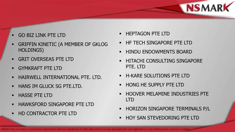

- GO BIZ LINK PTE LTD
- GRIFFIN KINETIC (A MEMBER OF GKLOG HOLDINGS)
- GRIT OVERSEAS PTE LTD
- GYMKRAFT PTE LTD
- **HAIRWELL INTERNATIONAL PTE. LTD.**
- **HANS IM GLUCK SG PTE.LTD.**
- **HASSE PTE LTD**
- HAWKSFORD SINGAPORE PTE LTD
- HD CONTRACTOR PTE LTD
- **HEPTAGON PTE LTD**
- HF TECH SINGAPORE PTE LTD
- HINDU ENDOWMENTS BOARD
- HITACHI CONSULTING SINGAPORE PTE. LTD
- H-KARE SOLUTIONS PTE LTD
- HONG HE SUPPLY PTE LTD
- HOOVER MELAMINE INDUSTRIES PTE LTD
- HORIZON SINGAPORE TERMINALS P/L
- HOY SAN STEVEDORING PTE LTD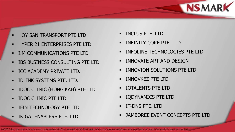

- HOY SAN TRANSPORT PTE LTD
- HYPER 21 ENTERPRISES PTE LTD
- **I.M COMMUNICATIONS PTE LTD**
- **BETTER STATES STATES IN STATE LTD.**
- **ICC ACADEMY PRIVATE LTD.**
- **IDLINK SYSTEMS PTE. LTD.**
- **-** IDOC CLINIC (HONG KAH) PTE LTD
- IDOC CLINIC PTE LTD
- IFIN TECHNOLOGY PTE LTD
- IKIGAI ENABLERS PTE. LTD.
- INCLUS PTE. LTD.
- INFINITY CORE PTE. LTD.
- INFOLINE TECHNOLOGIES PTE LTD
- INNOVATE ART AND DESIGN
- INNOVION SOLUTIONS PTE LTD
- INNOVKEZ PTE LTD
- IOTALENTS PTE LTD
- IQDYNAMICS PTE LTD
- IT-DNS PTE. LTD.
- JAMBOREE EVENT CONCEPTS PTE LTD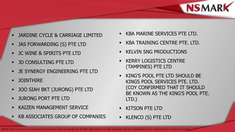

- JARDINE CYCLE & CARRIAGE LIMITED
- JAS FORWARDING (S) PTE LTD
- JC WINE & SPIRITS PTE LTD
- JD CONSULTING PTE LTD
- JE SYNERGY ENGINEERING PTE LTD
- JOINTHIRE
- JOO SIAH BKT (JURONG) PTE LTD
- JURONG PORT PTE LTD
- KAIZEN MANAGEMENT SERVICE
- KB ASSOCIATES GROUP OF COMPANIES
- KBA MARINE SERVICES PTE LTD.
- KBA TRAINING CENTRE PTE. LTD.
- KELVIN SNG PRODUCTIONS
- KERRY LOGISTICS CENTRE (TAMPINES) PTE LTD
- KING'S POOL PTE LTD SHOULD BE KINGS POOL SERVICES PTE. LTD. (COY CONFIRMED THAT IT SHOULD BE KNOWN AS THE KING'S POOL PTE. LTD.)
- KITSON PTE LTD
- KLENCO (S) PTE LTD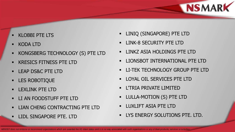

- KLOBBI PTE LTS
- KODA LTD
- KONGSBERG TECHNOLOGY (S) PTE LTD
- KRESICS FITNESS PTE LTD
- **LEAP DS&C PTE LTD**
- **LES ROBOTIQUE**
- LEXLINK PTE LTD
- LI AN FOODSTUFF PTE LTD
- LIAN CHENG CONTRACTING PTE LTD
- LIDL SINGAPORE PTE. LTD
- **LINIQ (SINGAPORE) PTE LTD**
- LINK-8 SECURITY PTE LTD
- LINKZ ASIA HOLDINGS PTE LTD
- LIONSBOT INTERNATIONAL PTE LTD
- **LI-TEK TECHNOLOGY GROUP PTE LTD**
- LOYAL OIL SERVICES PTE LTD
- L'TRIA PRIVATE LIMITED
- **LULLA-MOTION (S) PTE LTD**
- LUXLIFT ASIA PTE LTD
- **EXECUTE AND IN EXECUTIONS PTE. LTD.**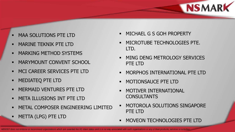

- MAA SOLUTIONS PTE LTD
- MARINE TEKNIK PTE LTD
- **MARKING METHOD SYSTEMS**
- **MARYMOUNT CONVENT SCHOOL**
- **MCI CAREER SERVICES PTE LTD**
- **MEDIATEQ PTE LTD**
- MERMAID VENTURES PTE LTD
- **NETA ILLUSIONS INT PTE LTD**
- METAL COMPOSER ENGINEERING LIMITED
- METTA (LPG) PTE LTD
- MICHAEL G S GOH PROPERTY
- MICROTUBE TECHNOLOGIES PTE. LTD.
- MING DENG METROLOGY SERVICES PTF LTD
- MORPHOS INTERNATIONAL PTE LTD
- MOTIONSAUCE PTE LTD
- MOTIVER INTERNATIONAL CONSULTANTS
- MOTOROLA SOLUTIONS SINGAPORE PTE LTD
- MOVEON TECHNOLOGIES PTE LTD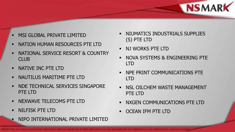

- MSI GLOBAL PRIVATE LIMITED
- NATION HUMAN RESOURCES PTE LTD
- NATIONAL SERVICE RESORT & COUNTRY CLUB
- **NATIVE INC PTE LTD**
- **NAUTILUS MARITIME PTE LTD**
- NDE TECHNICAL SERVICES SINGAPORE PTE LTD
- **NEXWAVE TELECOMS PTE LTD**
- **NILFISK PTE LTD**
- NIPO INTERNATIONAL PRIVATE LIMITED
- NIUMATICS INDUSTRIALS SUPPLIES (S) PTE LTD
- NJ WORKS PTE LTD
- **NOVA SYSTEMS & ENGINEERING PTE** LTD
- NPE PRINT COMMUNICATIONS PTE LTD
- **NSL OILCHEM WASTE MANAGEMENT** PTE LTD
- NXGEN COMMUNICATIONS PTE LTD
- OCEAN IFM PTE LTD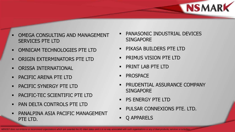

- OMEGA CONSULTING AND MANAGEMENT SERVICES PTE LTD
- **OMNICAM TECHNOLOGIES PTE LTD**
- ORIGIN EXTERMINATORS PTE LTD
- **ORISSA INTERNATIONAL**
- PACIFIC ARENA PTE LTD
- PACIFIC SYNERGY PTE LTD
- PACIFIC-TEC SCIENTIFIC PTE LTD
- PAN DELTA CONTROLS PTE LTD
- PANALPINA ASIA PACIFIC MANAGEMENT PTE LTD.
- PANASONIC INDUSTRIAL DEVICES SINGAPORE
- **PIKASA BUILDERS PTE LTD**
- PRIMUS VISION PTE LTD
- PRINT LAB PTE LTD
- PROSPACE
- PRUDENTIAL ASSURANCE COMPANY **SINGAPORE**
- **PS ENERGY PTE LTD**
- PULSAR CONNEXIONS PTE. LTD.
- Q APPARELS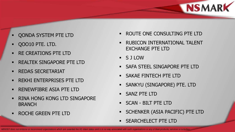

- QONDA SYSTEM PTE LTD
- QOO10 PTE. LTD.
- RE CREATIONS PTE LTD
- **REALTEK SINGAPORE PTE LTD**
- **REDAS SECRETARIAT**
- **REKHI ENTERPRISES PTE LTD**
- RENEWFIBRE ASIA PTE LTD
- RINA HONG KONG LTD SINGAPORE BRANCH
- ROCHE GREEN PTE LTD
- ROUTE ONE CONSULTING PTE LTD
- RUBICON INTERNATIONAL TALENT EXCHANGE PTE LTD
- S J LOW
- SAFA STEEL SINGAPORE PTE LTD
- SAKAE FINTECH PTE LTD
- SANKYU (SINGAPORE) PTE. LTD
- SANZ PTE LTD
- SCAN BILT PTE LTD
- SCHENKER (ASIA PACIFIC) PTE LTD
- SEARCHELECT PTE LTD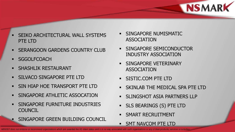

- SEIKO ARCHITECTURAL WALL SYSTEMS PTE LTD
- **SERANGOON GARDENS COUNTRY CLUB**
- **SGGOLFCOACH**
- **SHASHLIK RESTAURANT**
- **SILVACO SINGAPORE PTE LTD**
- SIN HIAP HOE TRANSPORT PTE LTD
- **SINGAPORE ATHLETIC ASSOCATION**
- SINGAPORE FURNITURE INDUSTRIES **COUNCIL**
- SINGAPORE GREEN BUILDING COUNCIL
- SINGAPORE NUMISMATIC ASSOCIATION
- SINGAPORE SEMICONDUCTOR INDUSTRY ASSOCIATION
- SINGAPORE VETERINARY ASSOCIATION
- **SISTIC.COM PTE LTD**
- **SKINLAB THE MEDICAL SPA PTE LTD**
- SLINGSHOT ASIA PARTNERS LLP
- SLS BEARINGS (S) PTE LTD
- SMART RECRUITMENT
- SMT NAVCOM PTE LTD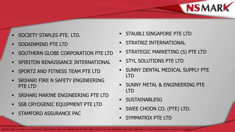

- SOCIETY STAPLES PTE. LTD.
- SODAINMIND PTE LTD
- **SOUTHERN GLOBE CORPORATION PTE LTD**
- SPIRITON RENAISSANCE INTERNATIONAL
- **SPORTZ AND FITNESS TEAM PTE LTD**
- SRIHARI FIRE N SAFETY ENGINEERING PTE LTD
- **SRIHARI MARINE ENGINEERING PTE LTD**
- SSB CRYOGENIC EQUIPMENT PTE LTD
- STAMFORD ASSURANCE PAC
- STAUBLI SINGAPORE PTE LTD
- STRATBIZ INTERNATIONAL
- STRATEGIC MARKETING (S) PTE LTD
- STYL SOLUTIONS PTE LTD
- **SUNNY DENTAL MEDICAL SUPPLY PTE** LTD
- SUNNY METAL & ENGINEERING PTE LTD
- **SUSTAINABLESG**
- SWEE CHOON CO. (PTE) LTD.
- SYMMATRIX PTE LTD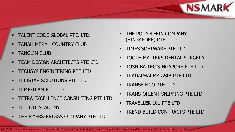

- TALENT CODE GLOBAL PTE. LTD.
- TANAH MERAH COUNTRY CLUB
- **TANGLIN CLUB**
- **TEAM DESIGN ARCHITECTS PTE LTD**
- **TECHSYS ENGINEERING PTE LTD**
- **TELISTAR SOLUTIONS PTE LTD**
- TEMP-TEAM PTE LTD
- TETRA EXCELLENCE CONSULTING PTE LTD
- THE IOT ACADEMY
- THE MYERS-BRIGGS COMPANY PTE LTD
- THE POLYOLEFIN COMPANY (SINGAPORE) PTE. LTD.
- **TIMES SOFTWARE PTE LTD**
- TOOTH MATTERS DENTAL SURGERY
- TOSHIBA TEC SINGAPORE PTE LTD
- TRADAPHARMA ASIA PTE LTD
- TRANSFINGO PTE LTD
- TRANS-ORIENT SHIPPING PTE LTD
- TRAVELLER 101 PTE LTD
- TREND BUILD CONTRACTS PTE LTD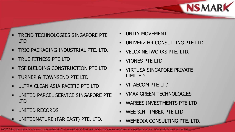

- TREND TECHNOLOGIES SINGAPORE PTE LTD
- **TRIO PACKAGING INDUSTRIAL PTE. LTD.**
- **TRUE FITNESS PTE LTD**
- TSF BUILDING CONSTRUCTION PTE LTD
- **TURNER & TOWNSEND PTE LTD**
- ULTRA CLEAN ASIA PACIFIC PTE LTD
- **UNITED PARCEL SERVICE SINGAPORE PTE** LTD
- **UNITED RECORDS**
- UNITEDNATURE (FAR EAST) PTE. LTD.
- UNITY MOVEMENT
- UNIVERZ HR CONSULTING PTE LTD
- **VELOX NETWORKS PTE. LTD.**
- VIONES PTE LTD
- **UIRTUSA SINGAPORE PRIVATE** LIMITED
- VITAECOM PTE LTD
- VMAX GREEN TECHNOLOGIES
- WAREES INVESTMENTS PTE LTD
- WEE SIN TIMBER PTE LTD
- WEMEDIA CONSULTING PTE. LTD.